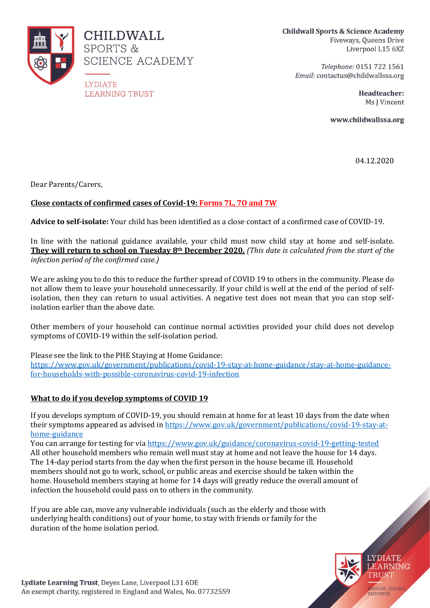

**Childwall Sports & Science Academy** Fiveways, Queens Drive Liverpool L15 6XZ

Telephone: 0151 722 1561 Email: contactus@childwallssa.org

> Headteacher: Ms I Vincent

www.childwallssa.org

04.12.2020

Dear Parents/Carers,

# **Close contacts of confirmed cases of Covid-19: Forms 7L, 7O and 7W**

**Advice to self-isolate:** Your child has been identified as a close contact of a confirmed case of COVID-19.

In line with the national guidance available, your child must now child stay at home and self-isolate. **They will return to school on Tuesday 8th December 2020.** *(This date is calculated from the start of the infection period of the confirmed case.)*

We are asking you to do this to reduce the further spread of COVID 19 to others in the community. Please do not allow them to leave your household unnecessarily. If your child is well at the end of the period of selfisolation, then they can return to usual activities. A negative test does not mean that you can stop selfisolation earlier than the above date.

Other members of your household can continue normal activities provided your child does not develop symptoms of COVID-19 within the self-isolation period.

Please see the link to the PHE Staying at Home Guidance: [https://www.gov.uk/government/publications/covid-19-stay-at-home-guidance/stay-at-home-guidance](https://www.gov.uk/government/publications/covid-19-stay-at-home-guidance/stay-at-home-guidance-for-households-with-possible-coronavirus-covid-19-infection)[for-households-with-possible-coronavirus-covid-19-infection](https://www.gov.uk/government/publications/covid-19-stay-at-home-guidance/stay-at-home-guidance-for-households-with-possible-coronavirus-covid-19-infection)

## **What to do if you develop symptoms of COVID 19**

If you develops symptom of COVID-19, you should remain at home for at least 10 days from the date when their symptoms appeared as advised i[n https://www.gov.uk/government/publications/covid-19-stay-at](https://www.gov.uk/government/publications/covid-19-stay-at-home-guidance)[home-guidance](https://www.gov.uk/government/publications/covid-19-stay-at-home-guidance)

You can arrange for testing for vi[a https://www.gov.uk/guidance/coronavirus-covid-19-getting-tested](https://www.gov.uk/guidance/coronavirus-covid-19-getting-tested) All other household members who remain well must stay at home and not leave the house for 14 days. The 14-day period starts from the day when the first person in the house became ill. Household members should not go to work, school, or public areas and exercise should be taken within the home. Household members staying at home for 14 days will greatly reduce the overall amount of infection the household could pass on to others in the community.

If you are able can, move any vulnerable individuals (such as the elderly and those with underlying health conditions) out of your home, to stay with friends or family for the duration of the home isolation period.



NGAGE, ENABLE **EMPOWEE** 

**LYDIATE LEARNING** TRUST